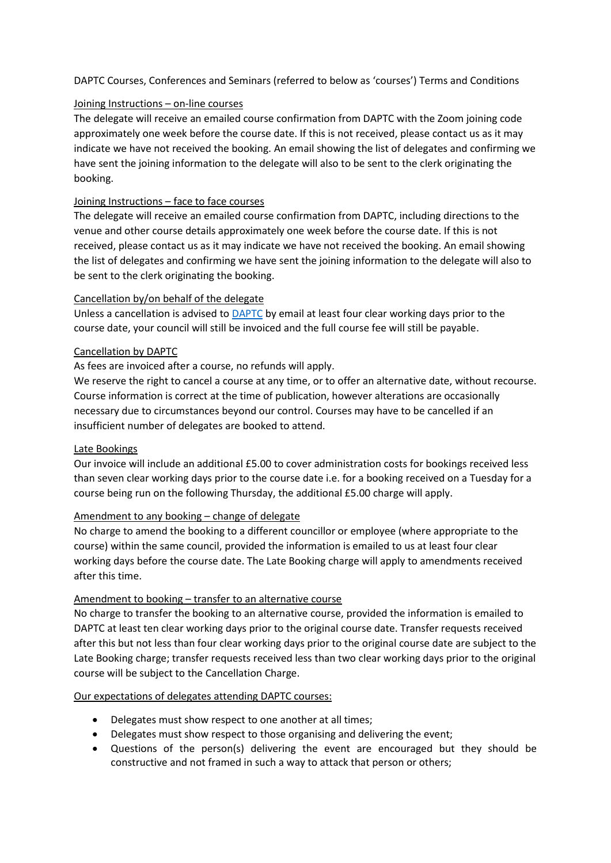DAPTC Courses, Conferences and Seminars (referred to below as 'courses') Terms and Conditions

# Joining Instructions – on-line courses

The delegate will receive an emailed course confirmation from DAPTC with the Zoom joining code approximately one week before the course date. If this is not received, please contact us as it may indicate we have not received the booking. An email showing the list of delegates and confirming we have sent the joining information to the delegate will also to be sent to the clerk originating the booking.

## Joining Instructions – face to face courses

The delegate will receive an emailed course confirmation from DAPTC, including directions to the venue and other course details approximately one week before the course date. If this is not received, please contact us as it may indicate we have not received the booking. An email showing the list of delegates and confirming we have sent the joining information to the delegate will also to be sent to the clerk originating the booking.

# Cancellation by/on behalf of the delegate

Unless a cancellation is advised to **DAPTC** by email at least four clear working days prior to the course date, your council will still be invoiced and the full course fee will still be payable.

### Cancellation by DAPTC

# As fees are invoiced after a course, no refunds will apply.

We reserve the right to cancel a course at any time, or to offer an alternative date, without recourse. Course information is correct at the time of publication, however alterations are occasionally necessary due to circumstances beyond our control. Courses may have to be cancelled if an insufficient number of delegates are booked to attend.

### Late Bookings

Our invoice will include an additional £5.00 to cover administration costs for bookings received less than seven clear working days prior to the course date i.e. for a booking received on a Tuesday for a course being run on the following Thursday, the additional £5.00 charge will apply.

#### Amendment to any booking – change of delegate

No charge to amend the booking to a different councillor or employee (where appropriate to the course) within the same council, provided the information is emailed to us at least four clear working days before the course date. The Late Booking charge will apply to amendments received after this time.

#### Amendment to booking – transfer to an alternative course

No charge to transfer the booking to an alternative course, provided the information is emailed to DAPTC at least ten clear working days prior to the original course date. Transfer requests received after this but not less than four clear working days prior to the original course date are subject to the Late Booking charge; transfer requests received less than two clear working days prior to the original course will be subject to the Cancellation Charge.

#### Our expectations of delegates attending DAPTC courses:

- Delegates must show respect to one another at all times;
- Delegates must show respect to those organising and delivering the event;
- Questions of the person(s) delivering the event are encouraged but they should be constructive and not framed in such a way to attack that person or others;